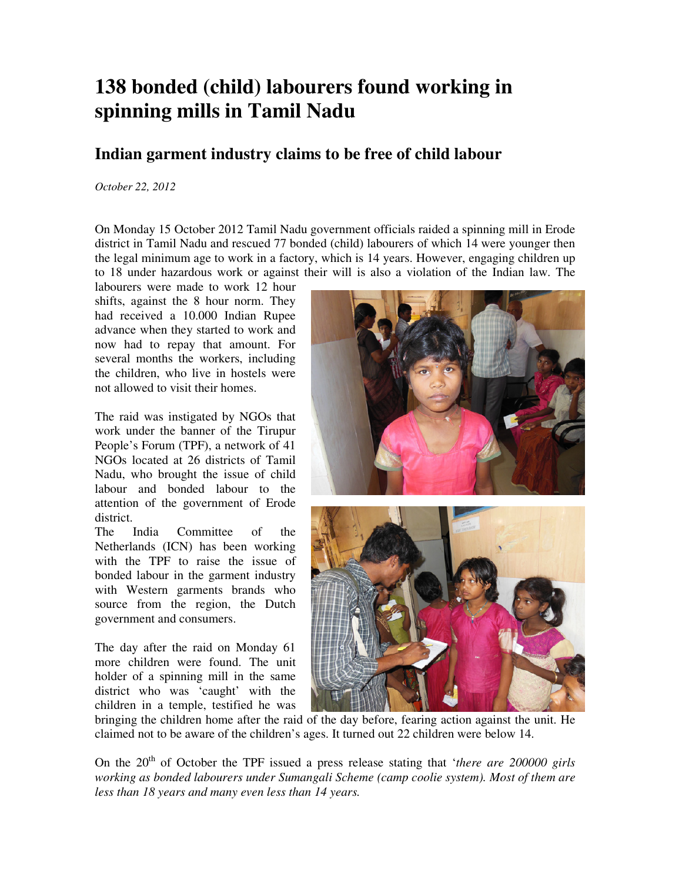## **138 bonded (child) labourers found working in spinning mills in Tamil Nadu**

## **Indian garment industry claims to be free of child labour**

## *October 22, 2012*

On Monday 15 October 2012 Tamil Nadu government officials raided a spinning mill in Erode district in Tamil Nadu and rescued 77 bonded (child) labourers of which 14 were younger then the legal minimum age to work in a factory, which is 14 years. However, engaging children up to 18 under hazardous work or against their will is also a violation of the Indian law. The

labourers were made to work 12 hour shifts, against the 8 hour norm. They had received a 10.000 Indian Rupee advance when they started to work and now had to repay that amount. For several months the workers, including the children, who live in hostels were not allowed to visit their homes.

The raid was instigated by NGOs that work under the banner of the Tirupur People's Forum (TPF), a network of 41 NGOs located at 26 districts of Tamil Nadu, who brought the issue of child labour and bonded labour to the attention of the government of Erode district.

The India Committee of the Netherlands (ICN) has been working with the TPF to raise the issue of bonded labour in the garment industry with Western garments brands who source from the region, the Dutch government and consumers.

The day after the raid on Monday 61 more children were found. The unit holder of a spinning mill in the same district who was 'caught' with the children in a temple, testified he was





bringing the children home after the raid of the day before, fearing action against the unit. He claimed not to be aware of the children's ages. It turned out 22 children were below 14.

On the 20<sup>th</sup> of October the TPF issued a press release stating that *'there are 200000 girls working as bonded labourers under Sumangali Scheme (camp coolie system). Most of them are less than 18 years and many even less than 14 years.*